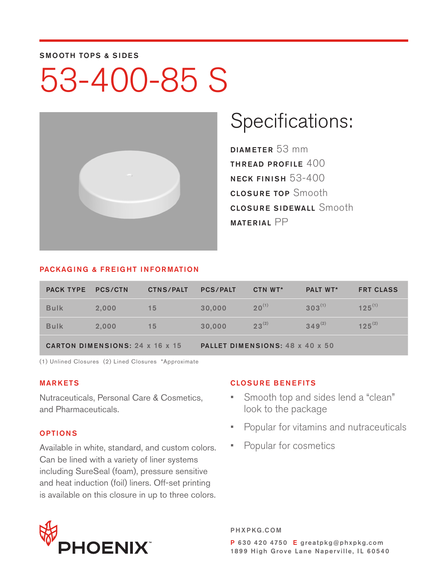#### SMOOTH TOPS & SIDES

# 53-400-85 S



### Specifications:

DIAMETER 53 mm THREAD PROFILE  $400$ NECK FINISH 53-400 CLOSURE TOP Smooth **CLOSURE SIDEWALL Smooth** MATERIAL PP

#### PACKAGING & FREIGHT INFORMATION

| <b>PACK TYPE</b>                | <b>PCS/CTN</b> | <b>CTNS/PALT</b> | <b>PCS/PALT</b>                 | CTN WT*    | <b>PALT WT*</b> | <b>FRT CLASS</b> |  |
|---------------------------------|----------------|------------------|---------------------------------|------------|-----------------|------------------|--|
| <b>Bulk</b>                     | 2.000          | 15               | 30,000                          | $20^{(1)}$ | $303^{(1)}$     | $125^{(1)}$      |  |
| <b>Bulk</b>                     | 2.000          | 15               | 30,000                          | $23^{(2)}$ | $349^{(2)}$     | $125^{(2)}$      |  |
| CARTON DIMENSIONS: 24 x 16 x 15 |                |                  | PALLET DIMENSIONS: 48 x 40 x 50 |            |                 |                  |  |

(1) Unlined Closures (2) Lined Closures \*Approximate

#### MARKETS

Nutraceuticals, Personal Care & Cosmetics, and Pharmaceuticals.

#### OPTIONS

Available in white, standard, and custom colors. Can be lined with a variety of liner systems including SureSeal (foam), pressure sensitive and heat induction (foil) liners. Off-set printing is available on this closure in up to three colors.

#### CLOSURE BENEFITS

- Smooth top and sides lend a "clean" look to the package
- Popular for vitamins and nutraceuticals
- Popular for cosmetics



PHXPKG.COM P 630 420 4750 E greatpkg@phxpkg.com 1899 High Grove Lane Naperville, IL 60540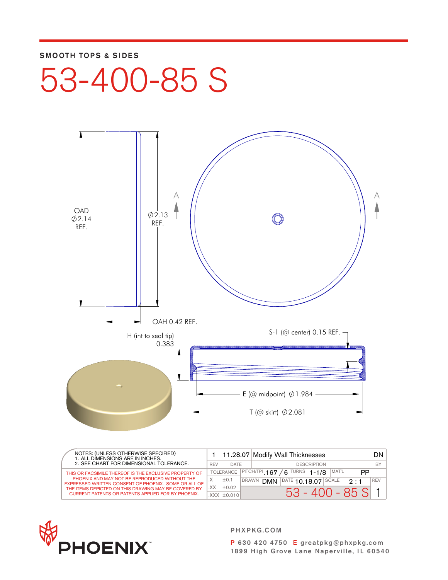#### SMOOTH TOPS & SIDES

53-400-85 S



| NOTES: (UNLESS OTHERWISE SPECIFIED)<br>1. ALL DIMENSIONS ARE IN INCHES.<br>2. SEE CHART FOR DIMENSIONAL TOLERANCE. |     |                   |                                                     | 11.28.07 Modify Wall Thicknesses                                     | DN I       |
|--------------------------------------------------------------------------------------------------------------------|-----|-------------------|-----------------------------------------------------|----------------------------------------------------------------------|------------|
|                                                                                                                    |     | <b>DATE</b>       |                                                     | <b>DESCRIPTION</b>                                                   | BY         |
| THIS OR FACSIMILE THEREOF IS THE EXCLUSIVE PROPERTY OF                                                             |     | <b>TOLERANCE</b>  | $ $ PITCH/TPI 167<br>$6$ TURNS 1-1/8<br>MAT'L<br>PP |                                                                      |            |
| PHOENIX AND MAY NOT BE REPRODUCED WITHOUT THE<br>EXPRESSED WRITTEN CONSENT OF PHOENIX. SOME OR ALL OF              |     | ±0.1              | <b>DRAWN</b>                                        | $ \text{DATE}$ 10 18 07<br><b>DMN</b><br><b>SCALE</b><br>$2 \cdot 1$ | <b>REV</b> |
| THE ITEMS DEPICTED ON THIS DRAWING MAY BE COVERED BY                                                               | XX. | ±0.02             |                                                     |                                                                      |            |
| CURRENT PATENTS OR PATENTS APPLIED FOR BY PHOENIX.                                                                 |     | $XXX$ $\pm$ 0.010 |                                                     | $53 - 400 - 85$ SI                                                   |            |



PHXPKG.COM

P 630 420 4750 E greatpkg@phxpkg.com 1899 High Grove Lane Naperville, IL 60540